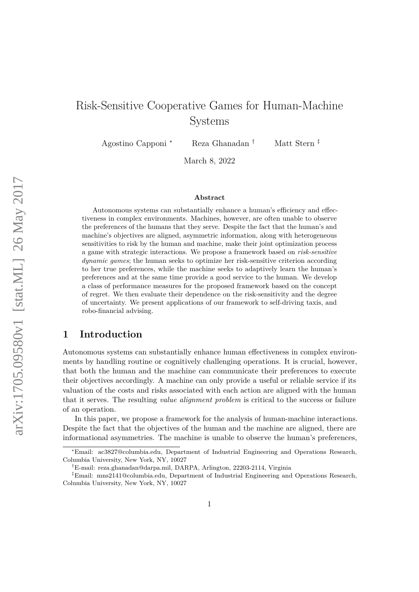# Risk-Sensitive Cooperative Games for Human-Machine Systems

Agostino Capponi <sup>∗</sup> Reza Ghanadan † Matt Stern ‡

March 8, 2022

#### **Abstract**

Autonomous systems can substantially enhance a human's efficiency and effectiveness in complex environments. Machines, however, are often unable to observe the preferences of the humans that they serve. Despite the fact that the human's and machine's objectives are aligned, asymmetric information, along with heterogeneous sensitivities to risk by the human and machine, make their joint optimization process a game with strategic interactions. We propose a framework based on *risk-sensitive dynamic games*; the human seeks to optimize her risk-sensitive criterion according to her true preferences, while the machine seeks to adaptively learn the human's preferences and at the same time provide a good service to the human. We develop a class of performance measures for the proposed framework based on the concept of regret. We then evaluate their dependence on the risk-sensitivity and the degree of uncertainty. We present applications of our framework to self-driving taxis, and robo-financial advising.

### **1 Introduction**

Autonomous systems can substantially enhance human effectiveness in complex environments by handling routine or cognitively challenging operations. It is crucial, however, that both the human and the machine can communicate their preferences to execute their objectives accordingly. A machine can only provide a useful or reliable service if its valuation of the costs and risks associated with each action are aligned with the human that it serves. The resulting *value alignment problem* is critical to the success or failure of an operation.

In this paper, we propose a framework for the analysis of human-machine interactions. Despite the fact that the objectives of the human and the machine are aligned, there are informational asymmetries. The machine is unable to observe the human's preferences,

<sup>∗</sup>Email: ac3827@columbia.edu, Department of Industrial Engineering and Operations Research, Columbia University, New York, NY, 10027

<sup>†</sup>E-mail: reza.ghanadan@darpa.mil, DARPA, Arlington, 22203-2114, Virginia

<sup>‡</sup>Email: mns2141@columbia.edu, Department of Industrial Engineering and Operations Research, Columbia University, New York, NY, 10027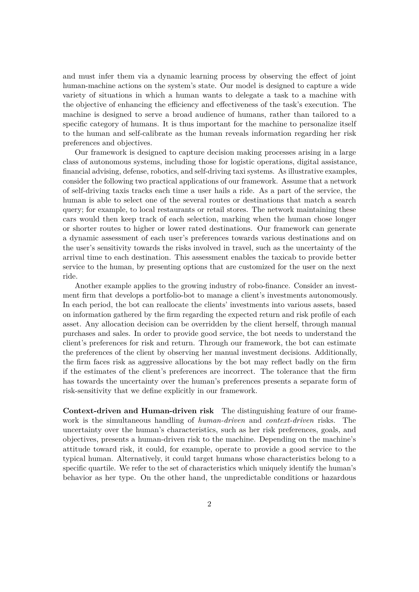and must infer them via a dynamic learning process by observing the effect of joint human-machine actions on the system's state. Our model is designed to capture a wide variety of situations in which a human wants to delegate a task to a machine with the objective of enhancing the efficiency and effectiveness of the task's execution. The machine is designed to serve a broad audience of humans, rather than tailored to a specific category of humans. It is thus important for the machine to personalize itself to the human and self-calibrate as the human reveals information regarding her risk preferences and objectives.

Our framework is designed to capture decision making processes arising in a large class of autonomous systems, including those for logistic operations, digital assistance, financial advising, defense, robotics, and self-driving taxi systems. As illustrative examples, consider the following two practical applications of our framework. Assume that a network of self-driving taxis tracks each time a user hails a ride. As a part of the service, the human is able to select one of the several routes or destinations that match a search query; for example, to local restaurants or retail stores. The network maintaining these cars would then keep track of each selection, marking when the human chose longer or shorter routes to higher or lower rated destinations. Our framework can generate a dynamic assessment of each user's preferences towards various destinations and on the user's sensitivity towards the risks involved in travel, such as the uncertainty of the arrival time to each destination. This assessment enables the taxicab to provide better service to the human, by presenting options that are customized for the user on the next ride.

Another example applies to the growing industry of robo-finance. Consider an investment firm that develops a portfolio-bot to manage a client's investments autonomously. In each period, the bot can reallocate the clients' investments into various assets, based on information gathered by the firm regarding the expected return and risk profile of each asset. Any allocation decision can be overridden by the client herself, through manual purchases and sales. In order to provide good service, the bot needs to understand the client's preferences for risk and return. Through our framework, the bot can estimate the preferences of the client by observing her manual investment decisions. Additionally, the firm faces risk as aggressive allocations by the bot may reflect badly on the firm if the estimates of the client's preferences are incorrect. The tolerance that the firm has towards the uncertainty over the human's preferences presents a separate form of risk-sensitivity that we define explicitly in our framework.

**Context-driven and Human-driven risk** The distinguishing feature of our framework is the simultaneous handling of *human-driven* and *context-driven* risks. The uncertainty over the human's characteristics, such as her risk preferences, goals, and objectives, presents a human-driven risk to the machine. Depending on the machine's attitude toward risk, it could, for example, operate to provide a good service to the typical human. Alternatively, it could target humans whose characteristics belong to a specific quartile. We refer to the set of characteristics which uniquely identify the human's behavior as her type. On the other hand, the unpredictable conditions or hazardous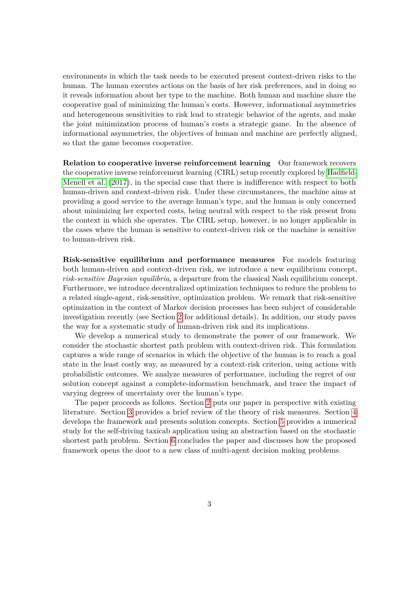environments in which the task needs to be executed present context-driven risks to the human. The human executes actions on the basis of her risk preferences, and in doing so it reveals information about her type to the machine. Both human and machine share the cooperative goal of minimizing the human's costs. However, informational asymmetries and heterogeneous sensitivities to risk lead to strategic behavior of the agents, and make the joint minimization process of human's costs a strategic game. In the absence of informational asymmetries, the objectives of human and machine are perfectly aligned, so that the game becomes cooperative.

**Relation to cooperative inverse reinforcement learning** Our framework recovers the cooperative inverse reinforcement learning (CIRL) setup recently explored by [Hadfield-](#page-14-0)[Menell et al.](#page-14-0) [\(2017\)](#page-14-0), in the special case that there is indifference with respect to both human-driven and context-driven risk. Under these circumstances, the machine aims at providing a good service to the average human's type, and the human is only concerned about minimizing her expected costs, being neutral with respect to the risk present from the context in which she operates. The CIRL setup, however, is no longer applicable in the cases where the human is sensitive to context-driven risk or the machine is sensitive to human-driven risk.

**Risk-sensitive equilibrium and performance measures** For models featuring both human-driven and context-driven risk, we introduce a new equilibrium concept, *risk-sensitive Bayesian equilibria*, a departure from the classical Nash equilibrium concept. Furthermore, we introduce decentralized optimization techniques to reduce the problem to a related single-agent, risk-sensitive, optimization problem. We remark that risk-sensitive optimization in the context of Markov decision processes has been subject of considerable investigation recently (see Section [2](#page-3-0) for additional details). In addition, our study paves the way for a systematic study of human-driven risk and its implications.

We develop a numerical study to demonstrate the power of our framework. We consider the stochastic shortest path problem with context-driven risk. This formulation captures a wide range of scenarios in which the objective of the human is to reach a goal state in the least costly way, as measured by a context-risk criterion, using actions with probabilistic outcomes. We analyze measures of performance, including the regret of our solution concept against a complete-information benchmark, and trace the impact of varying degrees of uncertainty over the human's type.

The paper proceeds as follows. Section [2](#page-3-0) puts our paper in perspective with existing literature. Section [3](#page-3-1) provides a brief review of the theory of risk measures. Section [4](#page-4-0) develops the framework and presents solution concepts. Section [5](#page-7-0) provides a numerical study for the self-driving taxicab application using an abstraction based on the stochastic shortest path problem. Section [6](#page-11-0) concludes the paper and discusses how the proposed framework opens the door to a new class of multi-agent decision making problems.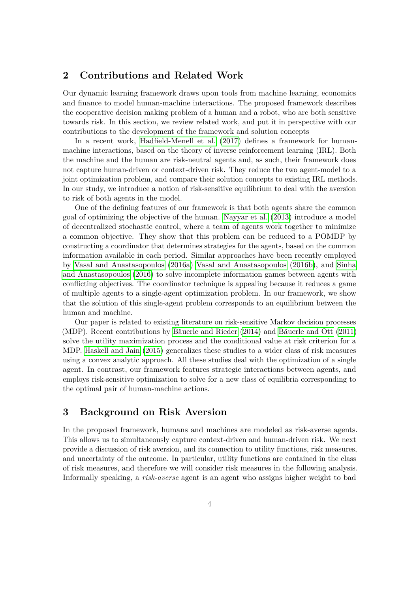### <span id="page-3-0"></span>**2 Contributions and Related Work**

Our dynamic learning framework draws upon tools from machine learning, economics and finance to model human-machine interactions. The proposed framework describes the cooperative decision making problem of a human and a robot, who are both sensitive towards risk. In this section, we review related work, and put it in perspective with our contributions to the development of the framework and solution concepts

In a recent work, [Hadfield-Menell et al.](#page-14-0) [\(2017\)](#page-14-0) defines a framework for humanmachine interactions, based on the theory of inverse reinforcement learning (IRL). Both the machine and the human are risk-neutral agents and, as such, their framework does not capture human-driven or context-driven risk. They reduce the two agent-model to a joint optimization problem, and compare their solution concepts to existing IRL methods. In our study, we introduce a notion of risk-sensitive equilibrium to deal with the aversion to risk of both agents in the model.

One of the defining features of our framework is that both agents share the common goal of optimizing the objective of the human. [Nayyar et al.](#page-14-1) [\(2013\)](#page-14-1) introduce a model of decentralized stochastic control, where a team of agents work together to minimize a common objective. They show that this problem can be reduced to a POMDP by constructing a coordinator that determines strategies for the agents, based on the common information available in each period. Similar approaches have been recently employed by [Vasal and Anastasopoulos](#page-15-0) [\(2016a\)](#page-15-0) [Vasal and Anastasopoulos](#page-15-1) [\(2016b\)](#page-15-1), and [Sinha](#page-14-2) [and Anastasopoulos](#page-14-2) [\(2016\)](#page-14-2) to solve incomplete information games between agents with conflicting objectives. The coordinator technique is appealing because it reduces a game of multiple agents to a single-agent optimization problem. In our framework, we show that the solution of this single-agent problem corresponds to an equilibrium between the human and machine.

Our paper is related to existing literature on risk-sensitive Markov decision processes (MDP). Recent contributions by [Bäuerle and Rieder](#page-14-3) [\(2014\)](#page-14-3) and [Bäuerle and Ott](#page-14-4) [\(2011\)](#page-14-4) solve the utility maximization process and the conditional value at risk criterion for a MDP. [Haskell and Jain](#page-14-5) [\(2015\)](#page-14-5) generalizes these studies to a wider class of risk measures using a convex analytic approach. All these studies deal with the optimization of a single agent. In contrast, our framework features strategic interactions between agents, and employs risk-sensitive optimization to solve for a new class of equilibria corresponding to the optimal pair of human-machine actions.

# <span id="page-3-1"></span>**3 Background on Risk Aversion**

In the proposed framework, humans and machines are modeled as risk-averse agents. This allows us to simultaneously capture context-driven and human-driven risk. We next provide a discussion of risk aversion, and its connection to utility functions, risk measures, and uncertainty of the outcome. In particular, utility functions are contained in the class of risk measures, and therefore we will consider risk measures in the following analysis. Informally speaking, a *risk-averse* agent is an agent who assigns higher weight to bad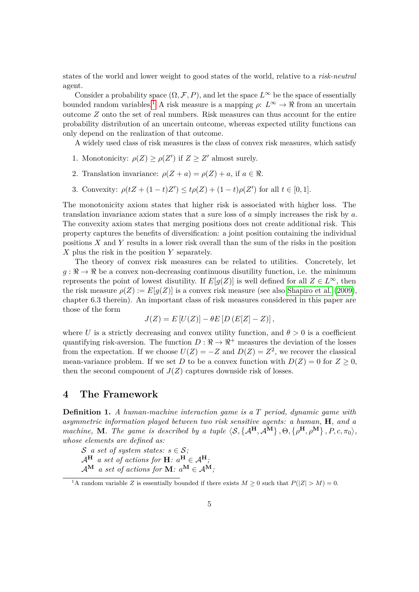states of the world and lower weight to good states of the world, relative to a *risk-neutral* agent.

Consider a probability space  $(\Omega, \mathcal{F}, P)$ , and let the space  $L^{\infty}$  be the space of essentially bounded random variables.<sup>[1](#page-4-1)</sup> A risk measure is a mapping  $\rho: L^{\infty} \to \mathbb{R}$  from an uncertain outcome *Z* onto the set of real numbers. Risk measures can thus account for the entire probability distribution of an uncertain outcome, whereas expected utility functions can only depend on the realization of that outcome.

A widely used class of risk measures is the class of convex risk measures, which satisfy

- 1. Monotonicity:  $\rho(Z) \geq \rho(Z')$  if  $Z \geq Z'$  almost surely.
- 2. Translation invariance:  $\rho(Z + a) = \rho(Z) + a$ , if  $a \in \mathbb{R}$ .
- 3. Convexity:  $\rho(tZ + (1-t)Z') \le t\rho(Z) + (1-t)\rho(Z')$  for all  $t \in [0,1]$ .

The monotonicity axiom states that higher risk is associated with higher loss. The translation invariance axiom states that a sure loss of *a* simply increases the risk by *a*. The convexity axiom states that merging positions does not create additional risk. This property captures the benefits of diversification: a joint position containing the individual positions *X* and *Y* results in a lower risk overall than the sum of the risks in the position *X* plus the risk in the position *Y* separately.

The theory of convex risk measures can be related to utilities. Concretely, let  $g: \mathbb{R} \to \mathbb{R}$  be a convex non-decreasing continuous disutility function, i.e. the minimum represents the point of lowest disutility. If  $E[g(Z)]$  is well defined for all  $Z \in L^{\infty}$ , then the risk measure  $\rho(Z) := E[g(Z)]$  is a convex risk measure (see also [Shapiro et al.](#page-14-6) [\(2009\)](#page-14-6), chapter 6.3 therein). An important class of risk measures considered in this paper are those of the form

$$
J(Z) = E[U(Z)] - \theta E[D(E[Z] - Z)],
$$

where *U* is a strictly decreasing and convex utility function, and  $\theta > 0$  is a coefficient quantifying risk-aversion. The function  $D : \mathbb{R} \to \mathbb{R}^+$  measures the deviation of the losses from the expectation. If we choose  $U(Z) = -Z$  and  $D(Z) = Z^2$ , we recover the classical mean-variance problem. If we set *D* to be a convex function with  $D(Z) = 0$  for  $Z \ge 0$ , then the second component of  $J(Z)$  captures downside risk of losses.

### <span id="page-4-0"></span>**4 The Framework**

**Definition 1.** *A human-machine interaction game is a T period, dynamic game with asymmetric information played between two risk sensitive agents: a human,* **H***, and a machine*, **M***. The game is described by a tuple*  $\langle S, \{A^H, A^M\}, \Theta, \{\rho^H, \rho^M\}, P, c, \pi_0 \rangle$ , *whose elements are defined as:*

- S *a set of system states:*  $s \in S$ ;
- $\mathcal{A}^{\mathbf{H}}$  *a set of actions for*  $\mathbf{H}$ *: a*<sup> $\mathbf{H} \in \mathcal{A}^{\mathbf{H}}$ *;*</sup>
- $\mathcal{A}^{\mathbf{M}}$  *a set of actions for*  $\mathbf{M}$ *:*  $a^{\mathbf{M}} \in \mathcal{A}^{\mathbf{M}}$ *;*

<span id="page-4-1"></span><sup>&</sup>lt;sup>1</sup>A random variable *Z* is essentially bounded if there exists  $M \geq 0$  such that  $P(|Z| > M) = 0$ .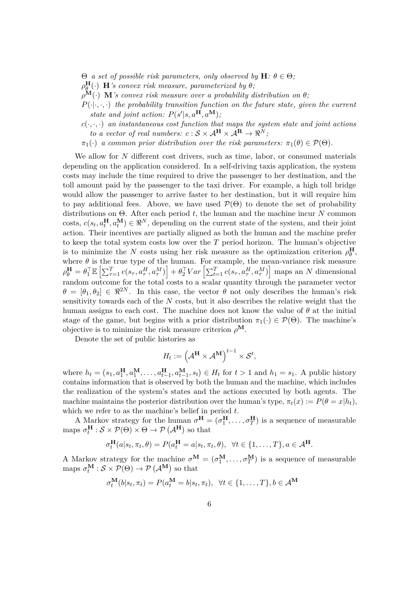$Θ$  *a set of possible risk parameters, only observed by* **H***:*  $θ ∈ Θ$ *;* 

- $\rho_{\varrho}^{\mathbf{H}}(\cdot)$  **H***'s convex risk measure, parameterized by*  $\theta$ *;*
- $\rho^{\mathbf{M}}(\cdot)$  **M***'s convex risk measure over a probability distribution on*  $\theta$ *;*
- $P(\cdot|\cdot,\cdot,\cdot)$  the probability transition function on the future state, given the current *state and joint action:*  $P(s'|s, a^{\mathbf{H}}, a^{\mathbf{M}})$ ;
- $c(\cdot, \cdot, \cdot)$  *an instantaneous cost function that maps the system state and joint actions to a vector of real numbers:*  $c : \mathcal{S} \times \mathcal{A}^{\mathbf{H}} \times \mathcal{A}^{\mathbf{R}} \rightarrow \mathbb{R}^{N}$ ;
- $\pi_1(\cdot)$  *a common prior distribution over the risk parameters:*  $\pi_1(\theta) \in \mathcal{P}(\Theta)$ *.*

We allow for *N* different cost drivers, such as time, labor, or consumed materials depending on the application considered. In a self-driving taxis application, the system costs may include the time required to drive the passenger to her destination, and the toll amount paid by the passenger to the taxi driver. For example, a high toll bridge would allow the passenger to arrive faster to her destination, but it will require him to pay additional fees. Above, we have used  $\mathcal{P}(\Theta)$  to denote the set of probability distributions on Θ. After each period *t*, the human and the machine incur *N* common costs,  $c(s_t, a_t^H, a_t^M) \in \mathbb{R}^N$ , depending on the current state of the system, and their joint action. Their incentives are partially aligned as both the human and the machine prefer to keep the total system costs low over the *T* period horizon. The human's objective is to minimize the *N* costs using her risk measure as the optimization criterion  $\rho_{\theta}^{\mathbf{H}}$ , where  $\theta$  is the true type of the human. For example, the mean-variance risk measure  $\rho_{\theta}^{\mathbf{H}} = \theta_1^{\top} \mathbb{E}\left[\sum_{\tau=1}^T c(s_{\tau}, a_{\tau}^H, a_{\tau}^M)\right] + \theta_2^{\top} Var\left[\sum_{t=1}^T c(s_{\tau}, a_{\tau}^H, a_{\tau}^M)\right]$  maps an N dimensional random outcome for the total costs to a scalar quantity through the parameter vector  $\theta = [\theta_1, \theta_2] \in \mathbb{R}^{2N}$ . In this case, the vector  $\theta$  not only describes the human's risk sensitivity towards each of the *N* costs, but it also describes the relative weight that the human assigns to each cost. The machine does not know the value of  $\theta$  at the initial stage of the game, but begins with a prior distribution  $\pi_1(\cdot) \in \mathcal{P}(\Theta)$ . The machine's objective is to minimize the risk measure criterion  $\rho^{\mathbf{M}}$ .

Denote the set of public histories as

$$
H_t := \left(\mathcal{A}^{\mathbf{H}} \times \mathcal{A}^{\mathbf{M}}\right)^{t-1} \times \mathcal{S}^t,
$$

where  $h_t = (s_1, a_1^H, a_1^M, \dots, a_{t-1}^H, a_{t-1}^M, s_t) \in H_t$  for  $t > 1$  and  $h_1 = s_1$ . A public history contains information that is observed by both the human and the machine, which includes the realization of the system's states and the actions executed by both agents. The machine maintains the posterior distribution over the human's type,  $\pi_t(x) := P(\theta = x|h_t)$ , which we refer to as the machine's belief in period *t*.

A Markov strategy for the human  $\sigma^H = (\sigma_1^H, \ldots, \sigma_T^H)$  is a sequence of measurable maps  $\sigma_t^{\mathbf{H}} : \mathcal{S} \times \mathcal{P}(\Theta) \times \Theta \to \mathcal{P}(\mathcal{A}^{\mathbf{H}})$  so that

$$
\sigma_t^{\mathbf{H}}(a|s_t, \pi_t, \theta) = P(a_t^{\mathbf{H}} = a|s_t, \pi_t, \theta), \ \forall t \in \{1, \dots, T\}, a \in \mathcal{A}^{\mathbf{H}}.
$$

A Markov strategy for the machine  $\sigma^{\mathbf{M}} = (\sigma_1^{\mathbf{M}}, \dots, \sigma_T^{\mathbf{M}})$  is a sequence of measurable maps  $\sigma_t^{\mathbf{M}}$  :  $S \times \mathcal{P}(\Theta) \to \mathcal{P}(\mathcal{A}^{\mathbf{M}})$  so that

$$
\sigma_t^{\mathbf{M}}(b|s_t, \pi_t) = P(a_t^{\mathbf{M}} = b|s_t, \pi_t), \ \forall t \in \{1, \dots, T\}, b \in \mathcal{A}^{\mathbf{M}}
$$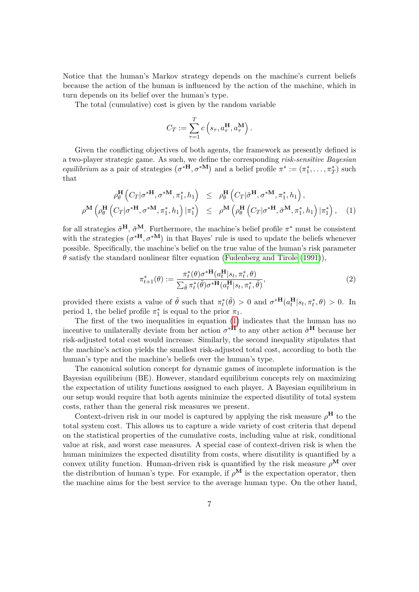Notice that the human's Markov strategy depends on the machine's current beliefs because the action of the human is influenced by the action of the machine, which in turn depends on its belief over the human's type.

The total (cumulative) cost is given by the random variable

$$
C_T := \sum_{\tau=1}^T c\left(s_{\tau}, a_{\tau}^{\mathbf{H}}, a_{\tau}^{\mathbf{M}}\right).
$$

Given the conflicting objectives of both agents, the framework as presently defined is a two-player strategic game. As such, we define the corresponding *risk-sensitive Bayesian equilibrium* as a pair of strategies  $(\sigma^{*H}, \sigma^{*M})$  and a belief profile  $\pi^* := (\pi_1^*, \ldots, \pi_T^*)$  such that

<span id="page-6-0"></span>
$$
\rho_{\theta}^{\mathbf{H}}\left(C_{T}|\sigma^{*{\mathbf{H}}},\sigma^{*{\mathbf{M}}},\pi_{1}^{*},h_{1}\right) \leq \rho_{\theta}^{\mathbf{H}}\left(C_{T}|\tilde{\sigma}^{\mathbf{H}},\sigma^{*{\mathbf{M}}},\pi_{1}^{*},h_{1}\right),
$$
\n
$$
\rho^{\mathbf{M}}\left(\rho_{\theta}^{\mathbf{H}}\left(C_{T}|\sigma^{*{\mathbf{H}}},\sigma^{*{\mathbf{M}}},\pi_{1}^{*},h_{1}\right)|\pi_{1}^{*}\right) \leq \rho^{\mathbf{M}}\left(\rho_{\theta}^{\mathbf{H}}\left(C_{T}|\sigma^{*{\mathbf{H}}},\tilde{\sigma}^{\mathbf{M}},\pi_{1}^{*},h_{1}\right)|\pi_{1}^{*}\right), \quad (1)
$$

for all strategies  $\tilde{\sigma}^{\mathbf{H}}$ ,  $\tilde{\sigma}^{\mathbf{M}}$ . Furthermore, the machine's belief profile  $\pi^*$  must be consistent with the strategies  $(\sigma^*{\bf H}, \sigma^*{\bf M})$  in that Bayes' rule is used to update the beliefs whenever possible. Specifically, the machine's belief on the true value of the human's risk parameter  $\theta$  satisfy the standard nonlinear filter equation [\(Fudenberg and Tirole](#page-14-7) [\(1991\)](#page-14-7)),

$$
\pi_{t+1}^*(\theta) := \frac{\pi_t^*(\theta)\sigma^{*\mathbf{H}}(a_t^{\mathbf{H}}|s_t, \pi_t^*, \theta)}{\sum_{\tilde{\theta}} \pi_t^*(\tilde{\theta})\sigma^{*\mathbf{H}}(a_t^{\mathbf{H}}|s_t, \pi_t^*, \tilde{\theta})},\tag{2}
$$

provided there exists a value of  $\tilde{\theta}$  such that  $\pi_t^*(\tilde{\theta}) > 0$  and  $\sigma^{*H}(a_t^H|s_t, \pi_t^*, \theta) > 0$ . In period 1, the belief profile  $\pi_1^*$  is equal to the prior  $\pi_1$ .

The first of the two inequalities in equation [\(1\)](#page-6-0) indicates that the human has no incentive to unilaterally deviate from her action  $\sigma^*$ <sup>**H**</sup> to any other action  $\tilde{\sigma}^{\mathbf{H}}$  because her risk-adjusted total cost would increase. Similarly, the second inequality stipulates that the machine's action yields the smallest risk-adjusted total cost, according to both the human's type and the machine's beliefs over the human's type.

The canonical solution concept for dynamic games of incomplete information is the Bayesian equilibrium (BE). However, standard equilibrium concepts rely on maximizing the expectation of utility functions assigned to each player. A Bayesian equilibrium in our setup would require that both agents minimize the expected disutility of total system costs, rather than the general risk measures we present.

Context-driven risk in our model is captured by applying the risk measure  $\rho^{\mathbf{H}}$  to the total system cost. This allows us to capture a wide variety of cost criteria that depend on the statistical properties of the cumulative costs, including value at risk, conditional value at risk, and worst case measures. A special case of context-driven risk is when the human minimizes the expected disutility from costs, where disutility is quantified by a convex utility function. Human-driven risk is quantified by the risk measure  $\rho^{\mathbf{M}}$  over the distribution of human's type. For example, if  $\rho^{\bf M}$  is the expectation operator, then the machine aims for the best service to the average human type. On the other hand,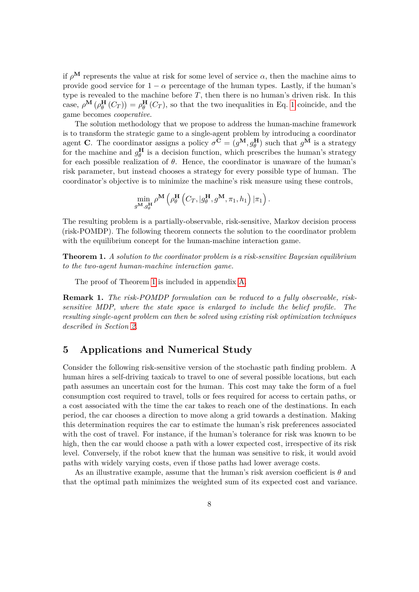if  $\rho^{\bf M}$  represents the value at risk for some level of service  $\alpha$ , then the machine aims to provide good service for  $1 - \alpha$  percentage of the human types. Lastly, if the human's type is revealed to the machine before  $T$ , then there is no human's driven risk. In this case,  $\rho^{\mathbf{M}}(\rho_{\theta}^{\mathbf{H}}(C_T)) = \rho_{\theta}^{\mathbf{H}}(C_T)$ , so that the two inequalities in Eq. [1](#page-6-0) coincide, and the game becomes *cooperative*.

The solution methodology that we propose to address the human-machine framework is to transform the strategic game to a single-agent problem by introducing a coordinator agent **C**. The coordinator assigns a policy  $\sigma^{\mathbf{C}} = (g^{\mathbf{M}}, g^{\mathbf{H}}_{\theta})$  such that  $g^{\mathbf{M}}$  is a strategy for the machine and  $g_{\theta}^{\mathbf{H}}$  is a decision function, which prescribes the human's strategy for each possible realization of *θ*. Hence, the coordinator is unaware of the human's risk parameter, but instead chooses a strategy for every possible type of human. The coordinator's objective is to minimize the machine's risk measure using these controls,

$$
\min_{g^{\mathbf{M}},g_{\theta}^{\mathbf{H}}} \rho^{\mathbf{M}}\left(\rho_{\theta}^{\mathbf{H}}\left(C_{T}, | g^{\mathbf{H}}_{\theta}, g^{\mathbf{M}}, \pi_1, h_1\right) | \pi_1\right).
$$

The resulting problem is a partially-observable, risk-sensitive, Markov decision process (risk-POMDP). The following theorem connects the solution to the coordinator problem with the equilibrium concept for the human-machine interaction game.

<span id="page-7-1"></span>**Theorem 1.** *A solution to the coordinator problem is a risk-sensitive Bayesian equilibrium to the two-agent human-machine interaction game.*

The proof of Theorem [1](#page-7-1) is included in appendix [A.](#page-12-0)

**Remark 1.** *The risk-POMDP formulation can be reduced to a fully observable, risksensitive MDP, where the state space is enlarged to include the belief profile. The resulting single-agent problem can then be solved using existing risk optimization techniques described in Section [2.](#page-3-0)*

### <span id="page-7-0"></span>**5 Applications and Numerical Study**

Consider the following risk-sensitive version of the stochastic path finding problem. A human hires a self-driving taxicab to travel to one of several possible locations, but each path assumes an uncertain cost for the human. This cost may take the form of a fuel consumption cost required to travel, tolls or fees required for access to certain paths, or a cost associated with the time the car takes to reach one of the destinations. In each period, the car chooses a direction to move along a grid towards a destination. Making this determination requires the car to estimate the human's risk preferences associated with the cost of travel. For instance, if the human's tolerance for risk was known to be high, then the car would choose a path with a lower expected cost, irrespective of its risk level. Conversely, if the robot knew that the human was sensitive to risk, it would avoid paths with widely varying costs, even if those paths had lower average costs.

As an illustrative example, assume that the human's risk aversion coefficient is *θ* and that the optimal path minimizes the weighted sum of its expected cost and variance.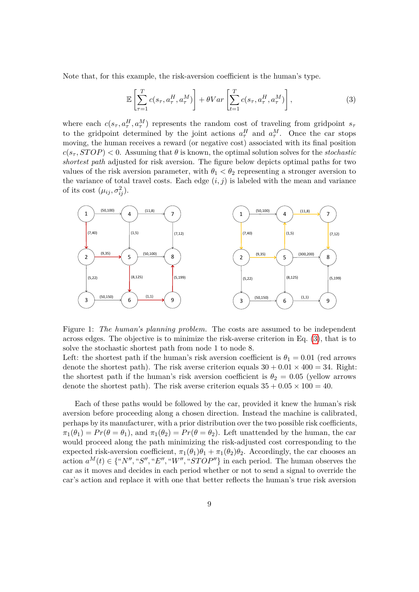Note that, for this example, the risk-aversion coefficient is the human's type.

<span id="page-8-0"></span>
$$
\mathbb{E}\left[\sum_{\tau=1}^{T}c(s_{\tau}, a_{\tau}^{H}, a_{\tau}^{M})\right] + \theta Var\left[\sum_{t=1}^{T}c(s_{\tau}, a_{\tau}^{H}, a_{\tau}^{M})\right],
$$
\n(3)

where each  $c(s_\tau, a_\tau^H, a_\tau^M)$  represents the random cost of traveling from gridpoint  $s_\tau$ to the gridpoint determined by the joint actions  $a^H_\tau$  and  $a^M_\tau$ . Once the car stops moving, the human receives a reward (or negative cost) associated with its final position  $c(s_\tau, STOP) < 0$ . Assuming that  $\theta$  is known, the optimal solution solves for the *stochastic shortest path* adjusted for risk aversion. The figure below depicts optimal paths for two values of the risk aversion parameter, with  $\theta_1 < \theta_2$  representing a stronger aversion to the variance of total travel costs. Each edge  $(i, j)$  is labeled with the mean and variance of its cost  $(\mu_{ij}, \sigma_{ij}^2)$ .



Figure 1: *The human's planning problem.* The costs are assumed to be independent across edges. The objective is to minimize the risk-averse criterion in Eq. [\(3\)](#page-8-0), that is to solve the stochastic shortest path from node 1 to node 8.

Left: the shortest path if the human's risk aversion coefficient is  $\theta_1 = 0.01$  (red arrows denote the shortest path). The risk averse criterion equals  $30 + 0.01 \times 400 = 34$ . Right: the shortest path if the human's risk aversion coefficient is  $\theta_2 = 0.05$  (yellow arrows denote the shortest path). The risk averse criterion equals  $35 + 0.05 \times 100 = 40$ .

Each of these paths would be followed by the car, provided it knew the human's risk aversion before proceeding along a chosen direction. Instead the machine is calibrated, perhaps by its manufacturer, with a prior distribution over the two possible risk coefficients,  $\pi_1(\theta_1) = Pr(\theta = \theta_1)$ , and  $\pi_1(\theta_2) = Pr(\theta = \theta_2)$ . Left unattended by the human, the car would proceed along the path minimizing the risk-adjusted cost corresponding to the expected risk-aversion coefficient,  $\pi_1(\theta_1)\theta_1 + \pi_1(\theta_2)\theta_2$ . Accordingly, the car chooses an action  $a^M(t) \in \{``N'', "S'', "E'', "W'', "STOP''\}$  in each period. The human observes the car as it moves and decides in each period whether or not to send a signal to override the car's action and replace it with one that better reflects the human's true risk aversion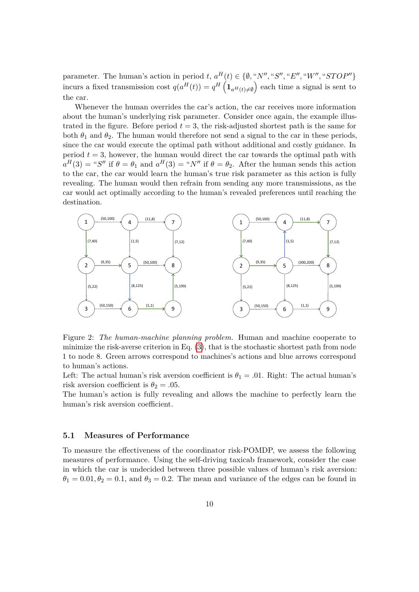parameter. The human's action in period  $t, a^H(t) \in \{\emptyset, "N'', "S'', "E'', "W'', "STOP''\}$ incurs a fixed transmission cost  $q(a^H(t)) = q^H\left(\mathbf{1}_{a^H(t)\neq\emptyset}\right)$  each time a signal is sent to the car.

Whenever the human overrides the car's action, the car receives more information about the human's underlying risk parameter. Consider once again, the example illustrated in the figure. Before period  $t = 3$ , the risk-adjusted shortest path is the same for both  $\theta_1$  and  $\theta_2$ . The human would therefore not send a signal to the car in these periods, since the car would execute the optimal path without additional and costly guidance. In period  $t = 3$ , however, the human would direct the car towards the optimal path with  $a^H(3) = "S"$  if  $\theta = \theta_1$  and  $a^H(3) = "N"$  if  $\theta = \theta_2$ . After the human sends this action to the car, the car would learn the human's true risk parameter as this action is fully revealing. The human would then refrain from sending any more transmissions, as the car would act optimally according to the human's revealed preferences until reaching the destination.



Figure 2: *The human-machine planning problem.* Human and machine cooperate to minimize the risk-averse criterion in Eq.  $(3)$ , that is the stochastic shortest path from node 1 to node 8. Green arrows correspond to machines's actions and blue arrows correspond to human's actions.

Left: The actual human's risk aversion coefficient is  $\theta_1 = .01$ . Right: The actual human's risk aversion coefficient is  $\theta_2 = .05$ .

The human's action is fully revealing and allows the machine to perfectly learn the human's risk aversion coefficient.

#### **5.1 Measures of Performance**

To measure the effectiveness of the coordinator risk-POMDP, we assess the following measures of performance. Using the self-driving taxicab framework, consider the case in which the car is undecided between three possible values of human's risk aversion:  $\theta_1 = 0.01, \theta_2 = 0.1$ , and  $\theta_3 = 0.2$ . The mean and variance of the edges can be found in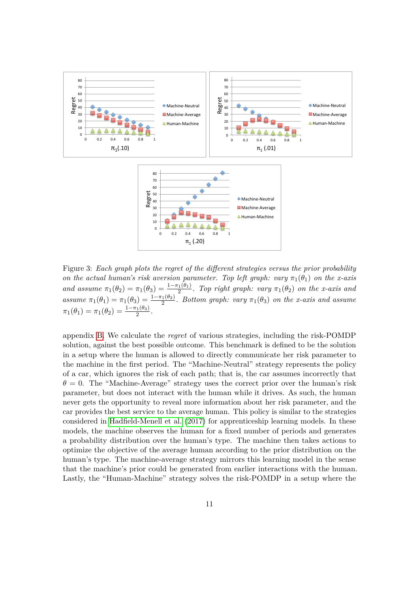<span id="page-10-0"></span>

Figure 3: *Each graph plots the regret of the different strategies versus the prior probability on the actual human's risk aversion parameter. Top left graph: vary*  $\pi_1(\theta_1)$  *on the x-axis and assume*  $\pi_1(\theta_2) = \pi_1(\theta_3) = \frac{1 - \pi_1(\theta_1)}{2}$ . Top right graph: vary  $\pi_1(\theta_2)$  on the x-axis and *assume*  $\pi_1(\theta_1) = \pi_1(\theta_3) = \frac{1-\pi_1(\theta_2)}{2}$ . Bottom graph: vary  $\pi_1(\theta_3)$  on the x-axis and assume  $\pi_1(\theta_1) = \pi_1(\theta_2) = \frac{1-\pi_1(\theta_3)}{2}.$ 

appendix [B.](#page-13-0) We calculate the *regret* of various strategies, including the risk-POMDP solution, against the best possible outcome. This benchmark is defined to be the solution in a setup where the human is allowed to directly communicate her risk parameter to the machine in the first period. The "Machine-Neutral" strategy represents the policy of a car, which ignores the risk of each path; that is, the car assumes incorrectly that  $\theta = 0$ . The "Machine-Average" strategy uses the correct prior over the human's risk parameter, but does not interact with the human while it drives. As such, the human never gets the opportunity to reveal more information about her risk parameter, and the car provides the best service to the average human. This policy is similar to the strategies considered in [Hadfield-Menell et al.](#page-14-0) [\(2017\)](#page-14-0) for apprenticeship learning models. In these models, the machine observes the human for a fixed number of periods and generates a probability distribution over the human's type. The machine then takes actions to optimize the objective of the average human according to the prior distribution on the human's type. The machine-average strategy mirrors this learning model in the sense that the machine's prior could be generated from earlier interactions with the human. Lastly, the "Human-Machine" strategy solves the risk-POMDP in a setup where the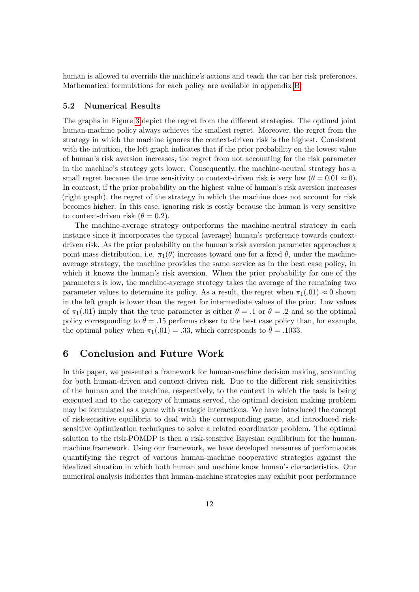human is allowed to override the machine's actions and teach the car her risk preferences. Mathematical formulations for each policy are available in appendix [B.](#page-13-0)

### **5.2 Numerical Results**

The graphs in Figure [3](#page-10-0) depict the regret from the different strategies. The optimal joint human-machine policy always achieves the smallest regret. Moreover, the regret from the strategy in which the machine ignores the context-driven risk is the highest. Consistent with the intuition, the left graph indicates that if the prior probability on the lowest value of human's risk aversion increases, the regret from not accounting for the risk parameter in the machine's strategy gets lower. Consequently, the machine-neutral strategy has a small regret because the true sensitivity to context-driven risk is very low  $(\theta = 0.01 \approx 0)$ . In contrast, if the prior probability on the highest value of human's risk aversion increases (right graph), the regret of the strategy in which the machine does not account for risk becomes higher. In this case, ignoring risk is costly because the human is very sensitive to context-driven risk  $(\theta = 0.2)$ .

The machine-average strategy outperforms the machine-neutral strategy in each instance since it incorporates the typical (average) human's preference towards contextdriven risk. As the prior probability on the human's risk aversion parameter approaches a point mass distribution, i.e.  $\pi_1(\theta)$  increases toward one for a fixed  $\theta$ , under the machineaverage strategy, the machine provides the same service as in the best case policy, in which it knows the human's risk aversion. When the prior probability for one of the parameters is low, the machine-average strategy takes the average of the remaining two parameter values to determine its policy. As a result, the regret when  $\pi_1(0.01) \approx 0$  shown in the left graph is lower than the regret for intermediate values of the prior. Low values of  $\pi_1(.01)$  imply that the true parameter is either  $\theta = .1$  or  $\theta = .2$  and so the optimal policy corresponding to  $\theta = .15$  performs closer to the best case policy than, for example, the optimal policy when  $\pi_1(.01) = .33$ , which corresponds to  $\bar{\theta} = .1033$ .

### <span id="page-11-0"></span>**6 Conclusion and Future Work**

In this paper, we presented a framework for human-machine decision making, accounting for both human-driven and context-driven risk. Due to the different risk sensitivities of the human and the machine, respectively, to the context in which the task is being executed and to the category of humans served, the optimal decision making problem may be formulated as a game with strategic interactions. We have introduced the concept of risk-sensitive equilibria to deal with the corresponding game, and introduced risksensitive optimization techniques to solve a related coordinator problem. The optimal solution to the risk-POMDP is then a risk-sensitive Bayesian equilibrium for the humanmachine framework. Using our framework, we have developed measures of performances quantifying the regret of various human-machine cooperative strategies against the idealized situation in which both human and machine know human's characteristics. Our numerical analysis indicates that human-machine strategies may exhibit poor performance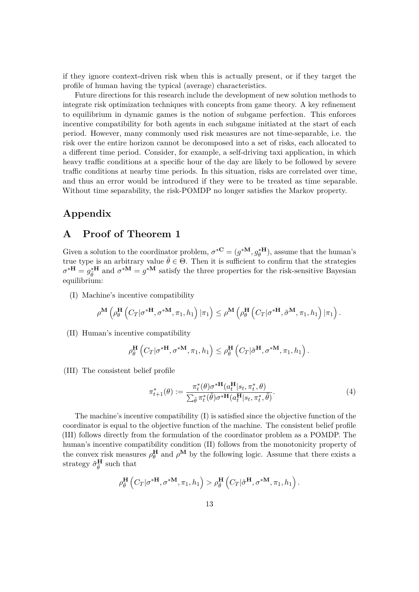if they ignore context-driven risk when this is actually present, or if they target the profile of human having the typical (average) characteristics.

Future directions for this research include the development of new solution methods to integrate risk optimization techniques with concepts from game theory. A key refinement to equilibrium in dynamic games is the notion of subgame perfection. This enforces incentive compatibility for both agents in each subgame initiated at the start of each period. However, many commonly used risk measures are not time-separable, i.e. the risk over the entire horizon cannot be decomposed into a set of risks, each allocated to a different time period. Consider, for example, a self-driving taxi application, in which heavy traffic conditions at a specific hour of the day are likely to be followed by severe traffic conditions at nearby time periods. In this situation, risks are correlated over time, and thus an error would be introduced if they were to be treated as time separable. Without time separability, the risk-POMDP no longer satisfies the Markov property.

# **Appendix**

### <span id="page-12-0"></span>**A Proof of Theorem 1**

Given a solution to the coordinator problem,  $\sigma^*$ **C** =  $(g^*$ **M**,  $g^*$ **H** $)$ , assume that the human's true type is an arbitrary value  $\bar{\theta} \in \Theta$ . Then it is sufficient to confirm that the strategies  $\sigma^{*H} = g_{\bar{\theta}}^{*H}$  and  $\sigma^{*M} = g^{*M}$  satisfy the three properties for the risk-sensitive Bayesian equilibrium:

(I) Machine's incentive compatibility

$$
\rho^{\mathbf{M}}\left(\rho^{\mathbf{H}}_{\theta}\left(C_{T} | \sigma^{\mathbf{*H}},\sigma^{\mathbf{*M}}, \pi_1, h_1\right) | \pi_1\right) \leq \rho^{\mathbf{M}}\left(\rho_{\theta}^{\mathbf{H}}\left(C_{T} | \sigma^{\mathbf{*H}},\tilde{\sigma}^{\mathbf{M}}, \pi_1, h_1\right) | \pi_1\right).
$$

(II) Human's incentive compatibility

$$
\rho_{\overline{\theta}}^{\mathbf{H}}\left(C_{T} | \sigma^{* \mathbf{H}}, \sigma^{* \mathbf{M}}, \pi_1, h_1\right) \leq \rho_{\overline{\theta}}^{\mathbf{H}}\left(C_{T} | \tilde{\sigma}^{\mathbf{H}}, \sigma^{* \mathbf{M}}, \pi_1, h_1\right).
$$

(III) The consistent belief profile

$$
\pi_{t+1}^*(\theta) := \frac{\pi_t^*(\theta)\sigma^{*\mathbf{H}}(a_t^{\mathbf{H}}|s_t, \pi_t^*, \theta)}{\sum_{\tilde{\theta}} \pi_t^*(\tilde{\theta})\sigma^{*\mathbf{H}}(a_t^{\mathbf{H}}|s_t, \pi_t^*, \tilde{\theta})}.
$$
\n(4)

The machine's incentive compatibility  $(I)$  is satisfied since the objective function of the coordinator is equal to the objective function of the machine. The consistent belief profile (III) follows directly from the formulation of the coordinator problem as a POMDP. The human's incentive compatibility condition (II) follows from the monotonicity property of the convex risk measures  $\rho_{\theta}^{\mathbf{H}}$  and  $\rho^{\mathbf{M}}$  by the following logic. Assume that there exists a strategy  $\tilde{\sigma}_{\bar{\theta}}^{\mathbf{H}}$  such that

$$
\rho_{\bar{\theta}}^{\mathbf{H}}\left(C_{T} | \sigma^{* \mathbf{H}}, \sigma^{* \mathbf{M}}, \pi_1, h_1\right) > \rho_{\bar{\theta}}^{\mathbf{H}}\left(C_{T} | \tilde{\sigma}^{\mathbf{H}}, \sigma^{* \mathbf{M}}, \pi_1, h_1\right).
$$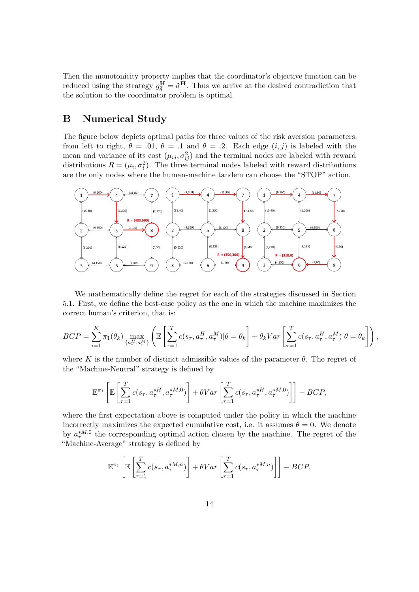Then the monotonicity property implies that the coordinator's objective function can be reduced using the strategy  $g_{\bar{\theta}}^{\mathbf{H}} = \tilde{\sigma}^{\mathbf{H}}$ . Thus we arrive at the desired contradiction that the solution to the coordinator problem is optimal.

# <span id="page-13-0"></span>**B Numerical Study**

The figure below depicts optimal paths for three values of the risk aversion parameters: from left to right,  $\theta = .01$ ,  $\theta = .1$  and  $\theta = .2$ . Each edge  $(i, j)$  is labeled with the mean and variance of its cost  $(\mu_{ij}, \sigma_{ij}^2)$  and the terminal nodes are labeled with reward distributions  $R = (\mu_i, \sigma_i^2)$ . The three terminal nodes labeled with reward distributions are the only nodes where the human-machine tandem can choose the "STOP" action.



We mathematically define the regret for each of the strategies discussed in Section 5.1. First, we define the best-case policy as the one in which the machine maximizes the correct human's criterion, that is:

$$
BCP = \sum_{i=1}^{K} \pi_1(\theta_k) \max_{\{a_\tau^H, a_\tau^M\}} \left( \mathbb{E} \left[ \sum_{\tau=1}^T c(s_\tau, a_\tau^H, a_\tau^M) | \theta = \theta_k \right] + \theta_k Var \left[ \sum_{\tau=1}^T c(s_\tau, a_\tau^H, a_\tau^M) | \theta = \theta_k \right] \right),
$$

where *K* is the number of distinct admissible values of the parameter  $\theta$ . The regret of the "Machine-Neutral" strategy is defined by

$$
\mathbb{E}^{\pi_1}\left[\mathbb{E}\left[\sum_{\tau=1}^T c(s_\tau, a_\tau^{*H}, a_\tau^{*M,0})\right] + \theta Var\left[\sum_{\tau=1}^T c(s_\tau, a_\tau^{*H}, a_\tau^{*M,0})\right]\right] - BCP,
$$

where the first expectation above is computed under the policy in which the machine incorrectly maximizes the expected cumulative cost, i.e. it assumes  $\theta = 0$ . We denote by  $a_{\tau}^{*M,0}$  the corresponding optimal action chosen by the machine. The regret of the "Machine-Average" strategy is defined by

$$
\mathbb{E}^{\pi_1}\left[\mathbb{E}\left[\sum_{\tau=1}^T c(s_\tau, a_\tau^{*M,n})\right] + \theta Var\left[\sum_{\tau=1}^T c(s_\tau, a_\tau^{*M,n})\right]\right] - BCP,
$$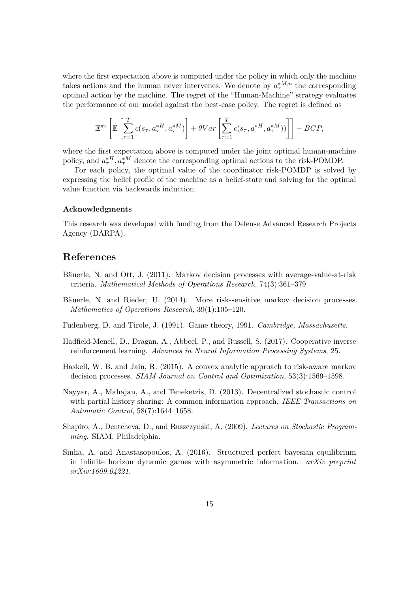where the first expectation above is computed under the policy in which only the machine takes actions and the human never intervenes. We denote by  $a_{\tau}^{*M,n}$  the corresponding optimal action by the machine. The regret of the "Human-Machine" strategy evaluates the performance of our model against the best-case policy. The regret is defined as

$$
\mathbb{E}^{\pi_1}\left[\mathbb{E}\left[\sum_{\tau=1}^T c(s_\tau, a_\tau^{*H}, a_\tau^{*M})\right] + \theta Var\left[\sum_{\tau=1}^T c(s_\tau, a_\tau^{*H}, a_\tau^{*M})\right)\right] - BCP,
$$

where the first expectation above is computed under the joint optimal human-machine policy, and  $a_{\tau}^{*H}$ ,  $a_{\tau}^{*M}$  denote the corresponding optimal actions to the risk-POMDP.

For each policy, the optimal value of the coordinator risk-POMDP is solved by expressing the belief profile of the machine as a belief-state and solving for the optimal value function via backwards induction.

#### **Acknowledgments**

This research was developed with funding from the Defense Advanced Research Projects Agency (DARPA).

### **References**

- <span id="page-14-4"></span>Bäuerle, N. and Ott, J. (2011). Markov decision processes with average-value-at-risk criteria. *Mathematical Methods of Operations Research*, 74(3):361–379.
- <span id="page-14-3"></span>Bäuerle, N. and Rieder, U. (2014). More risk-sensitive markov decision processes. *Mathematics of Operations Research*, 39(1):105–120.
- <span id="page-14-7"></span>Fudenberg, D. and Tirole, J. (1991). Game theory, 1991. *Cambridge, Massachusetts*.
- <span id="page-14-0"></span>Hadfield-Menell, D., Dragan, A., Abbeel, P., and Russell, S. (2017). Cooperative inverse reinforcement learning. *Advances in Neural Information Processing Systems*, 25.
- <span id="page-14-5"></span>Haskell, W. B. and Jain, R. (2015). A convex analytic approach to risk-aware markov decision processes. *SIAM Journal on Control and Optimization*, 53(3):1569–1598.
- <span id="page-14-1"></span>Nayyar, A., Mahajan, A., and Teneketzis, D. (2013). Decentralized stochastic control with partial history sharing: A common information approach. *IEEE Transactions on Automatic Control*, 58(7):1644–1658.
- <span id="page-14-6"></span>Shapiro, A., Dentcheva, D., and Ruszczynski, A. (2009). *Lectures on Stochastic Programming*. SIAM, Philadelphia.
- <span id="page-14-2"></span>Sinha, A. and Anastasopoulos, A. (2016). Structured perfect bayesian equilibrium in infinite horizon dynamic games with asymmetric information. *arXiv preprint arXiv:1609.04221*.